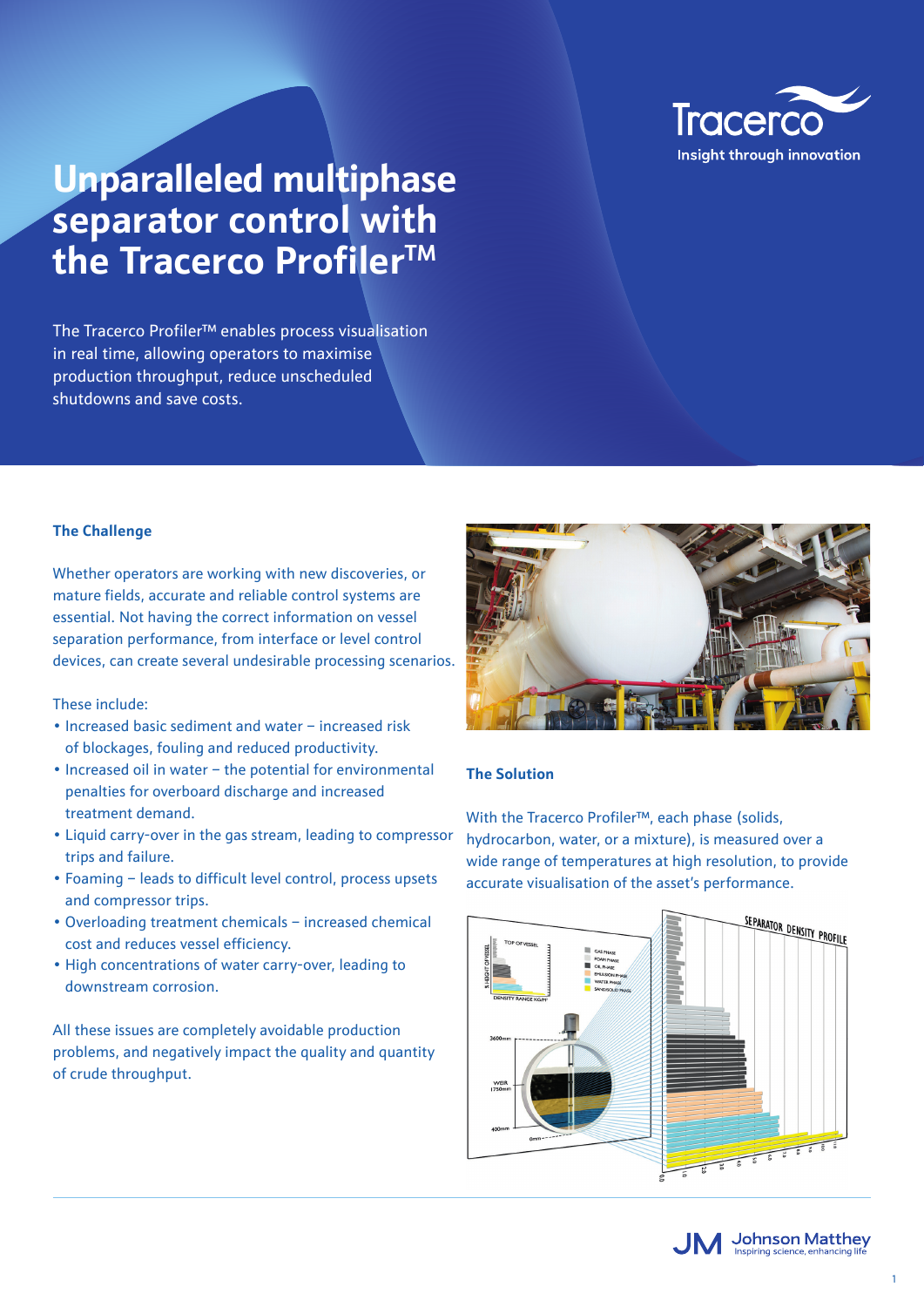

# **Unparalleled multiphase separator control with the Tracerco ProfilerTM**

The Tracerco Profiler™ enables process visualisation in real time, allowing operators to maximise production throughput, reduce unscheduled shutdowns and save costs.

#### **The Challenge**

Whether operators are working with new discoveries, or mature fields, accurate and reliable control systems are essential. Not having the correct information on vessel separation performance, from interface or level control devices, can create several undesirable processing scenarios.

These include:

- Increased basic sediment and water increased risk of blockages, fouling and reduced productivity.
- Increased oil in water the potential for environmental penalties for overboard discharge and increased treatment demand.
- Liquid carry-over in the gas stream, leading to compressor trips and failure.
- Foaming leads to difficult level control, process upsets and compressor trips.
- Overloading treatment chemicals increased chemical cost and reduces vessel efficiency.
- High concentrations of water carry-over, leading to downstream corrosion.

All these issues are completely avoidable production problems, and negatively impact the quality and quantity of crude throughput.



### **The Solution**

With the Tracerco Profiler™, each phase (solids, hydrocarbon, water, or a mixture), is measured over a wide range of temperatures at high resolution, to provide accurate visualisation of the asset's performance.